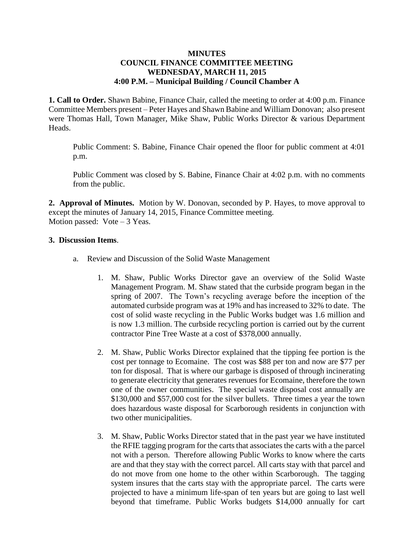## **MINUTES COUNCIL FINANCE COMMITTEE MEETING WEDNESDAY, MARCH 11, 2015 4:00 P.M. – Municipal Building / Council Chamber A**

**1. Call to Order.** Shawn Babine, Finance Chair, called the meeting to order at 4:00 p.m. Finance Committee Members present – Peter Hayes and Shawn Babine and William Donovan; also present were Thomas Hall, Town Manager, Mike Shaw, Public Works Director & various Department Heads.

Public Comment: S. Babine, Finance Chair opened the floor for public comment at 4:01 p.m.

Public Comment was closed by S. Babine, Finance Chair at 4:02 p.m. with no comments from the public.

**2. Approval of Minutes.** Motion by W. Donovan, seconded by P. Hayes, to move approval to except the minutes of January 14, 2015, Finance Committee meeting. Motion passed: Vote – 3 Yeas.

## **3. Discussion Items**.

- a. Review and Discussion of the Solid Waste Management
	- 1. M. Shaw, Public Works Director gave an overview of the Solid Waste Management Program. M. Shaw stated that the curbside program began in the spring of 2007. The Town's recycling average before the inception of the automated curbside program was at 19% and has increased to 32% to date. The cost of solid waste recycling in the Public Works budget was 1.6 million and is now 1.3 million. The curbside recycling portion is carried out by the current contractor Pine Tree Waste at a cost of \$378,000 annually.
	- 2. M. Shaw, Public Works Director explained that the tipping fee portion is the cost per tonnage to Ecomaine. The cost was \$88 per ton and now are \$77 per ton for disposal. That is where our garbage is disposed of through incinerating to generate electricity that generates revenues for Ecomaine, therefore the town one of the owner communities. The special waste disposal cost annually are \$130,000 and \$57,000 cost for the silver bullets. Three times a year the town does hazardous waste disposal for Scarborough residents in conjunction with two other municipalities.
	- 3. M. Shaw, Public Works Director stated that in the past year we have instituted the RFIE tagging program for the carts that associates the carts with a the parcel not with a person. Therefore allowing Public Works to know where the carts are and that they stay with the correct parcel. All carts stay with that parcel and do not move from one home to the other within Scarborough. The tagging system insures that the carts stay with the appropriate parcel. The carts were projected to have a minimum life-span of ten years but are going to last well beyond that timeframe. Public Works budgets \$14,000 annually for cart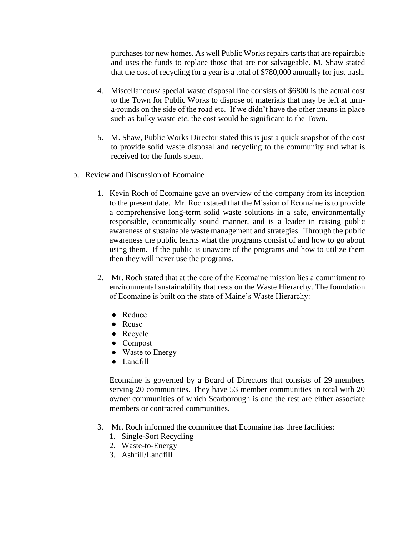purchases for new homes. As well Public Works repairs carts that are repairable and uses the funds to replace those that are not salvageable. M. Shaw stated that the cost of recycling for a year is a total of \$780,000 annually for just trash.

- 4. Miscellaneous/ special waste disposal line consists of \$6800 is the actual cost to the Town for Public Works to dispose of materials that may be left at turna-rounds on the side of the road etc. If we didn't have the other means in place such as bulky waste etc. the cost would be significant to the Town.
- 5. M. Shaw, Public Works Director stated this is just a quick snapshot of the cost to provide solid waste disposal and recycling to the community and what is received for the funds spent.
- b. Review and Discussion of Ecomaine
	- 1. Kevin Roch of Ecomaine gave an overview of the company from its inception to the present date. Mr. Roch stated that the Mission of Ecomaine is to provide a comprehensive long-term solid waste solutions in a safe, environmentally responsible, economically sound manner, and is a leader in raising public awareness of sustainable waste management and strategies. Through the public awareness the public learns what the programs consist of and how to go about using them. If the public is unaware of the programs and how to utilize them then they will never use the programs.
	- 2. Mr. Roch stated that at the core of the Ecomaine mission lies a commitment to environmental sustainability that rests on the Waste Hierarchy. The foundation of Ecomaine is built on the state of Maine's Waste Hierarchy:
		- Reduce
		- Reuse
		- Recycle
		- Compost
		- Waste to Energy
		- Landfill

Ecomaine is governed by a Board of Directors that consists of 29 members serving 20 communities. They have 53 member communities in total with 20 owner communities of which Scarborough is one the rest are either associate members or contracted communities.

- 3. Mr. Roch informed the committee that Ecomaine has three facilities:
	- 1. Single-Sort Recycling
	- 2. Waste-to-Energy
	- 3. Ashfill/Landfill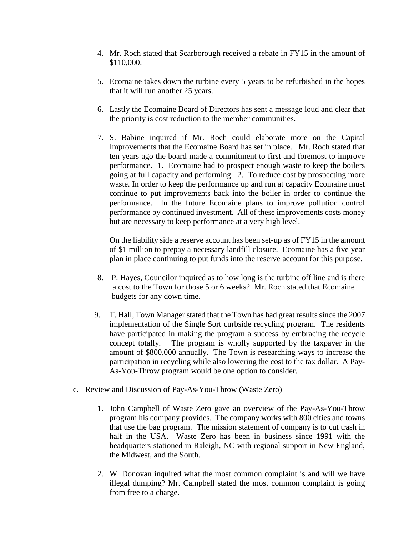- 4. Mr. Roch stated that Scarborough received a rebate in FY15 in the amount of \$110,000.
- 5. Ecomaine takes down the turbine every 5 years to be refurbished in the hopes that it will run another 25 years.
- 6. Lastly the Ecomaine Board of Directors has sent a message loud and clear that the priority is cost reduction to the member communities.
- 7. S. Babine inquired if Mr. Roch could elaborate more on the Capital Improvements that the Ecomaine Board has set in place. Mr. Roch stated that ten years ago the board made a commitment to first and foremost to improve performance. 1. Ecomaine had to prospect enough waste to keep the boilers going at full capacity and performing. 2. To reduce cost by prospecting more waste. In order to keep the performance up and run at capacity Ecomaine must continue to put improvements back into the boiler in order to continue the performance. In the future Ecomaine plans to improve pollution control performance by continued investment. All of these improvements costs money but are necessary to keep performance at a very high level.

On the liability side a reserve account has been set-up as of FY15 in the amount of \$1 million to prepay a necessary landfill closure. Ecomaine has a five year plan in place continuing to put funds into the reserve account for this purpose.

- 8. P. Hayes, Councilor inquired as to how long is the turbine off line and is there a cost to the Town for those 5 or 6 weeks? Mr. Roch stated that Ecomaine budgets for any down time.
- 9. T. Hall, Town Manager stated that the Town has had great results since the 2007 implementation of the Single Sort curbside recycling program. The residents have participated in making the program a success by embracing the recycle concept totally. The program is wholly supported by the taxpayer in the amount of \$800,000 annually. The Town is researching ways to increase the participation in recycling while also lowering the cost to the tax dollar. A Pay-As-You-Throw program would be one option to consider.
- c. Review and Discussion of Pay-As-You-Throw (Waste Zero)
	- 1. John Campbell of Waste Zero gave an overview of the Pay-As-You-Throw program his company provides. The company works with 800 cities and towns that use the bag program. The mission statement of company is to cut trash in half in the USA. Waste Zero has been in business since 1991 with the headquarters stationed in Raleigh, NC with regional support in New England, the Midwest, and the South.
	- 2. W. Donovan inquired what the most common complaint is and will we have illegal dumping? Mr. Campbell stated the most common complaint is going from free to a charge.